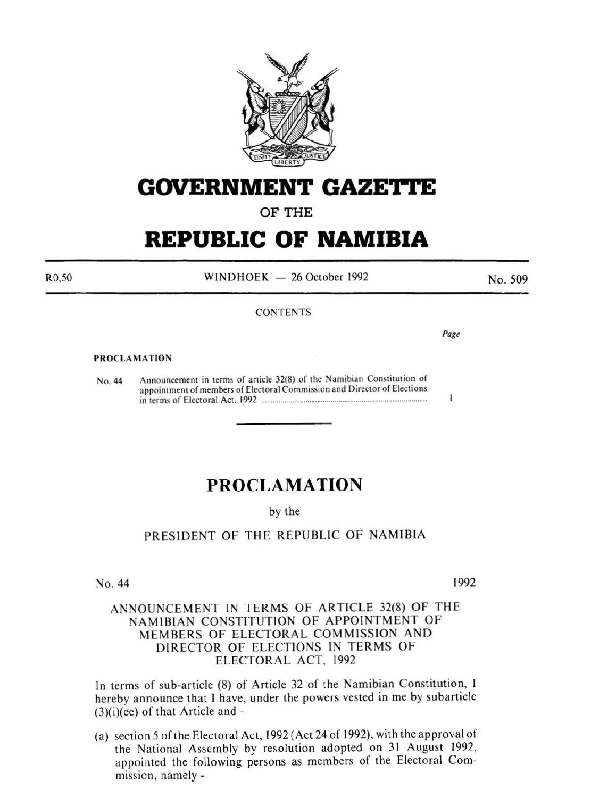

# **GOVERNMENT GAZE1=J'E**

OF THE

# **REPUBLIC OF NAMIBIA**

R0,50

 $WINDHOEK - 26 October 1992$ 

**CONTENTS** 

No. 509

*Page* 

 $\mathbf{I}$ 

### PROCLAMATION

No. 44 Announcement in terms of article 32(8) of the Namibian Constitution of appointment of members of Electoral Commission and Director of Elections in terms of Electoral Act. 1992 ..................................................................................... .

## **PROCLAMATION**

## by the

## PRESIDENT OF THE REPUBLIC OF NAMIBIA

No. 44

1992

## ANNOUNCEMENT IN TERMS OF ARTICLE 32(8) OF THE NAMIBIAN CONSTITUTION OF APPOINTMENT OF MEMBERS OF ELECTORAL COMMISSION AND DIRECTOR OF ELECTIONS IN TERMS OF ELECTORAL ACT, 1992

In terms of sub-article (8) of Article 32 of the Namibian Constitution, 1 hereby announce that I have, under the powers vested in me by subarticle  $(3)(i)(ee)$  of that Article and -

(a) section 5oft he Electoral Act, 1992 (Act 24 of 1992), with the approval of the National Assembly by resolution adopted on 31 August 1992, appointed the following persons as members of the Electoral Commission, namely-